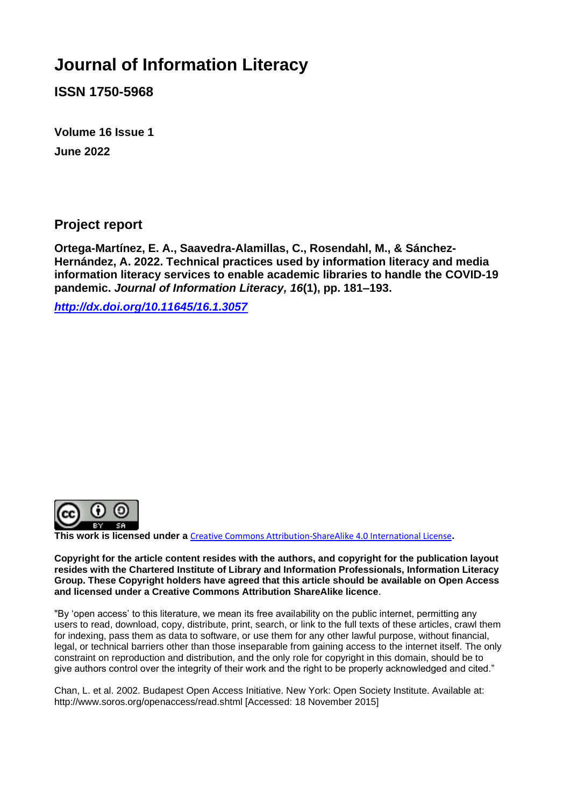# **Journal of Information Literacy**

**ISSN 1750-5968**

**Volume 16 Issue 1 June 2022**

**Project report**

**Ortega-Martínez, E. A., Saavedra-Alamillas, C., Rosendahl, M., & Sánchez-Hernández, A. 2022. Technical practices used by information literacy and media information literacy services to enable academic libraries to handle the COVID-19 pandemic.** *Journal of Information Literacy, 16***(1), pp. 181–193.**

*<http://dx.doi.org/10.11645/16.1.3057>*



**This work is licensed under a** [Creative Commons Attribution-ShareAlike 4.0 International License](http://creativecommons.org/licenses/by-sa/4.0/)**.**

**Copyright for the article content resides with the authors, and copyright for the publication layout resides with the Chartered Institute of Library and Information Professionals, Information Literacy Group. These Copyright holders have agreed that this article should be available on Open Access and licensed under a Creative Commons Attribution ShareAlike licence**.

"By 'open access' to this literature, we mean its free availability on the public internet, permitting any users to read, download, copy, distribute, print, search, or link to the full texts of these articles, crawl them for indexing, pass them as data to software, or use them for any other lawful purpose, without financial, legal, or technical barriers other than those inseparable from gaining access to the internet itself. The only constraint on reproduction and distribution, and the only role for copyright in this domain, should be to give authors control over the integrity of their work and the right to be properly acknowledged and cited."

Chan, L. et al. 2002. Budapest Open Access Initiative. New York: Open Society Institute. Available at: http://www.soros.org/openaccess/read.shtml [Accessed: 18 November 2015]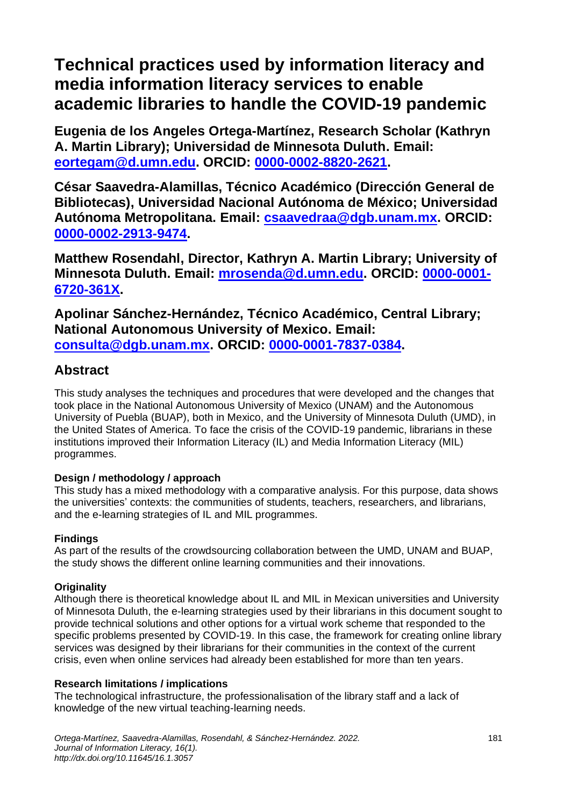# **Technical practices used by information literacy and media information literacy services to enable academic libraries to handle the COVID-19 pandemic**

**Eugenia de los Angeles Ortega-Martínez, Research Scholar (Kathryn A. Martin Library); Universidad de Minnesota Duluth. Email: [eortegam@d.umn.edu.](mailto:eortegam@d.umn.edu) ORCID: [0000-0002-8820-2621.](https://orcid.org/0000-0002-8820-2621)**

**César Saavedra-Alamillas, Técnico Académico (Dirección General de Bibliotecas), Universidad Nacional Autónoma de México; Universidad Autónoma Metropolitana. Email: [csaavedraa@dgb.unam.mx.](mailto:csaavedraa@dgb.unam.mx) ORCID: [0000-0002-2913-9474.](https://orcid.org/0000-0002-2913-9474)**

**Matthew Rosendahl, Director, Kathryn A. Martin Library; University of Minnesota Duluth. Email: [mrosenda@d.umn.edu.](mailto:mrosenda@d.umn.edu) ORCID: [0000-0001-](https://orcid.org/0000-0001-6720-361X) [6720-361X.](https://orcid.org/0000-0001-6720-361X)**

**Apolinar Sánchez-Hernández, Técnico Académico, Central Library; National Autonomous University of Mexico. Email: [consulta@dgb.unam.mx.](mailto:consulta@dgb.unam.mx) ORCID: [0000-0001-7837-0384.](https://orcid.org/0000-0001-7837-0384)**

## **Abstract**

This study analyses the techniques and procedures that were developed and the changes that took place in the National Autonomous University of Mexico (UNAM) and the Autonomous University of Puebla (BUAP), both in Mexico, and the University of Minnesota Duluth (UMD), in the United States of America. To face the crisis of the COVID-19 pandemic, librarians in these institutions improved their Information Literacy (IL) and Media Information Literacy (MIL) programmes.

### **Design / methodology / approach**

This study has a mixed methodology with a comparative analysis. For this purpose, data shows the universities' contexts: the communities of students, teachers, researchers, and librarians, and the e-learning strategies of IL and MIL programmes.

### **Findings**

As part of the results of the crowdsourcing collaboration between the UMD, UNAM and BUAP, the study shows the different online learning communities and their innovations.

### **Originality**

Although there is theoretical knowledge about IL and MIL in Mexican universities and University of Minnesota Duluth, the e-learning strategies used by their librarians in this document sought to provide technical solutions and other options for a virtual work scheme that responded to the specific problems presented by COVID-19. In this case, the framework for creating online library services was designed by their librarians for their communities in the context of the current crisis, even when online services had already been established for more than ten years.

#### **Research limitations / implications**

The technological infrastructure, the professionalisation of the library staff and a lack of knowledge of the new virtual teaching-learning needs.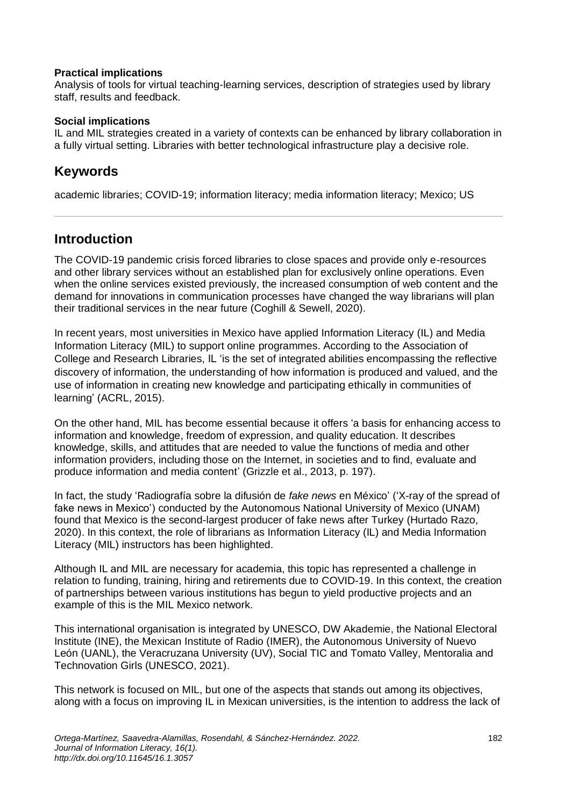#### **Practical implications**

Analysis of tools for virtual teaching-learning services, description of strategies used by library staff, results and feedback.

#### **Social implications**

IL and MIL strategies created in a variety of contexts can be enhanced by library collaboration in a fully virtual setting. Libraries with better technological infrastructure play a decisive role.

## **Keywords**

academic libraries; COVID-19; information literacy; media information literacy; Mexico; US

## **Introduction**

The COVID-19 pandemic crisis forced libraries to close spaces and provide only e-resources and other library services without an established plan for exclusively online operations. Even when the online services existed previously, the increased consumption of web content and the demand for innovations in communication processes have changed the way librarians will plan their traditional services in the near future (Coghill & Sewell, 2020).

In recent years, most universities in Mexico have applied Information Literacy (IL) and Media Information Literacy (MIL) to support online programmes. According to the Association of College and Research Libraries, IL 'is the set of integrated abilities encompassing the reflective discovery of information, the understanding of how information is produced and valued, and the use of information in creating new knowledge and participating ethically in communities of learning' (ACRL, 2015).

On the other hand, MIL has become essential because it offers 'a basis for enhancing access to information and knowledge, freedom of expression, and quality education. It describes knowledge, skills, and attitudes that are needed to value the functions of media and other information providers, including those on the Internet, in societies and to find, evaluate and produce information and media content' (Grizzle et al., 2013, p. 197).

In fact, the study 'Radiografía sobre la difusión de *fake news* en México' ('X-ray of the spread of fake news in Mexico') conducted by the Autonomous National University of Mexico (UNAM) found that Mexico is the second-largest producer of fake news after Turkey (Hurtado Razo, 2020). In this context, the role of librarians as Information Literacy (IL) and Media Information Literacy (MIL) instructors has been highlighted.

Although IL and MIL are necessary for academia, this topic has represented a challenge in relation to funding, training, hiring and retirements due to COVID-19. In this context, the creation of partnerships between various institutions has begun to yield productive projects and an example of this is the MIL Mexico network.

This international organisation is integrated by UNESCO, DW Akademie, the National Electoral Institute (INE), the Mexican Institute of Radio (IMER), the Autonomous University of Nuevo León (UANL), the Veracruzana University (UV), Social TIC and Tomato Valley, Mentoralia and Technovation Girls (UNESCO, 2021).

This network is focused on MIL, but one of the aspects that stands out among its objectives, along with a focus on improving IL in Mexican universities, is the intention to address the lack of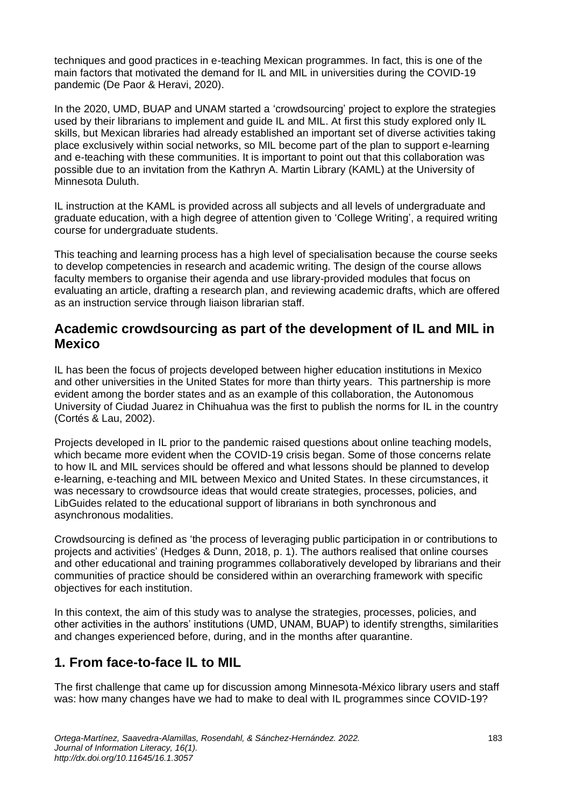techniques and good practices in e-teaching Mexican programmes. In fact, this is one of the main factors that motivated the demand for IL and MIL in universities during the COVID-19 pandemic (De Paor & Heravi, 2020).

In the 2020, UMD, BUAP and UNAM started a 'crowdsourcing' project to explore the strategies used by their librarians to implement and guide IL and MIL. At first this study explored only IL skills, but Mexican libraries had already established an important set of diverse activities taking place exclusively within social networks, so MIL become part of the plan to support e-learning and e-teaching with these communities. It is important to point out that this collaboration was possible due to an invitation from the Kathryn A. Martin Library (KAML) at the University of Minnesota Duluth.

IL instruction at the KAML is provided across all subjects and all levels of undergraduate and graduate education, with a high degree of attention given to 'College Writing', a required writing course for undergraduate students.

This teaching and learning process has a high level of specialisation because the course seeks to develop competencies in research and academic writing. The design of the course allows faculty members to organise their agenda and use library-provided modules that focus on evaluating an article, drafting a research plan, and reviewing academic drafts, which are offered as an instruction service through liaison librarian staff.

## **Academic crowdsourcing as part of the development of IL and MIL in Mexico**

IL has been the focus of projects developed between higher education institutions in Mexico and other universities in the United States for more than thirty years. This partnership is more evident among the border states and as an example of this collaboration, the Autonomous University of Ciudad Juarez in Chihuahua was the first to publish the norms for IL in the country (Cortés & Lau, 2002).

Projects developed in IL prior to the pandemic raised questions about online teaching models, which became more evident when the COVID-19 crisis began. Some of those concerns relate to how IL and MIL services should be offered and what lessons should be planned to develop e-learning, e-teaching and MIL between Mexico and United States. In these circumstances, it was necessary to crowdsource ideas that would create strategies, processes, policies, and LibGuides related to the educational support of librarians in both synchronous and asynchronous modalities.

Crowdsourcing is defined as 'the process of leveraging public participation in or contributions to projects and activities' (Hedges & Dunn, 2018, p. 1). The authors realised that online courses and other educational and training programmes collaboratively developed by librarians and their communities of practice should be considered within an overarching framework with specific objectives for each institution.

In this context, the aim of this study was to analyse the strategies, processes, policies, and other activities in the authors' institutions (UMD, UNAM, BUAP) to identify strengths, similarities and changes experienced before, during, and in the months after quarantine.

## **1. From face-to-face IL to MIL**

The first challenge that came up for discussion among Minnesota-México library users and staff was: how many changes have we had to make to deal with IL programmes since COVID-19?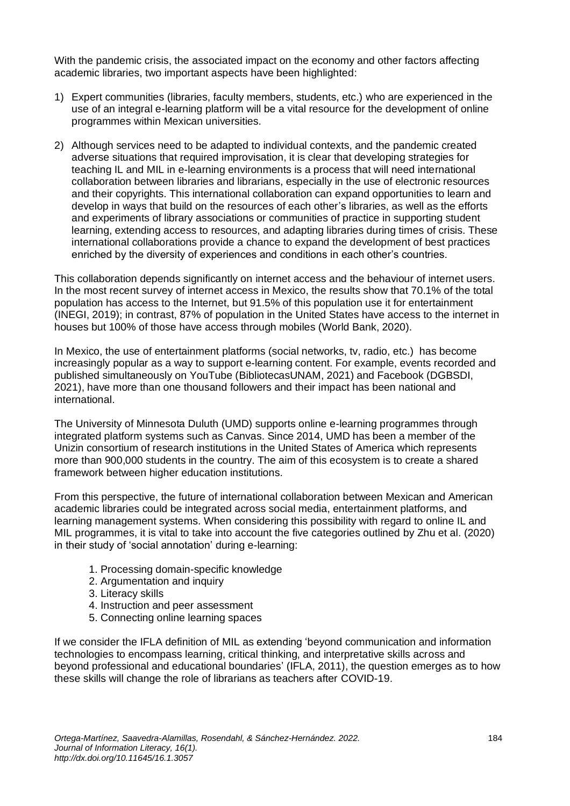With the pandemic crisis, the associated impact on the economy and other factors affecting academic libraries, two important aspects have been highlighted:

- 1) Expert communities (libraries, faculty members, students, etc.) who are experienced in the use of an integral e-learning platform will be a vital resource for the development of online programmes within Mexican universities.
- 2) Although services need to be adapted to individual contexts, and the pandemic created adverse situations that required improvisation, it is clear that developing strategies for teaching IL and MIL in e-learning environments is a process that will need international collaboration between libraries and librarians, especially in the use of electronic resources and their copyrights. This international collaboration can expand opportunities to learn and develop in ways that build on the resources of each other's libraries, as well as the efforts and experiments of library associations or communities of practice in supporting student learning, extending access to resources, and adapting libraries during times of crisis. These international collaborations provide a chance to expand the development of best practices enriched by the diversity of experiences and conditions in each other's countries.

This collaboration depends significantly on internet access and the behaviour of internet users. In the most recent survey of internet access in Mexico, the results show that 70.1% of the total population has access to the Internet, but 91.5% of this population use it for entertainment (INEGI, 2019); in contrast, 87% of population in the United States have access to the internet in houses but 100% of those have access through mobiles (World Bank, 2020).

In Mexico, the use of entertainment platforms (social networks, tv, radio, etc.) has become increasingly popular as a way to support e-learning content. For example, events recorded and published simultaneously on YouTube (BibliotecasUNAM, 2021) and Facebook (DGBSDI, 2021), have more than one thousand followers and their impact has been national and international.

The University of Minnesota Duluth (UMD) supports online e-learning programmes through integrated platform systems such as Canvas. Since 2014, UMD has been a member of the Unizin consortium of research institutions in the United States of America which represents more than 900,000 students in the country. The aim of this ecosystem is to create a shared framework between higher education institutions.

From this perspective, the future of international collaboration between Mexican and American academic libraries could be integrated across social media, entertainment platforms, and learning management systems. When considering this possibility with regard to online IL and MIL programmes, it is vital to take into account the five categories outlined by Zhu et al. (2020) in their study of 'social annotation' during e-learning:

- 1. Processing domain-specific knowledge
- 2. Argumentation and inquiry
- 3. Literacy skills
- 4. Instruction and peer assessment
- 5. Connecting online learning spaces

If we consider the IFLA definition of MIL as extending 'beyond communication and information technologies to encompass learning, critical thinking, and interpretative skills across and beyond professional and educational boundaries' (IFLA, 2011), the question emerges as to how these skills will change the role of librarians as teachers after COVID-19.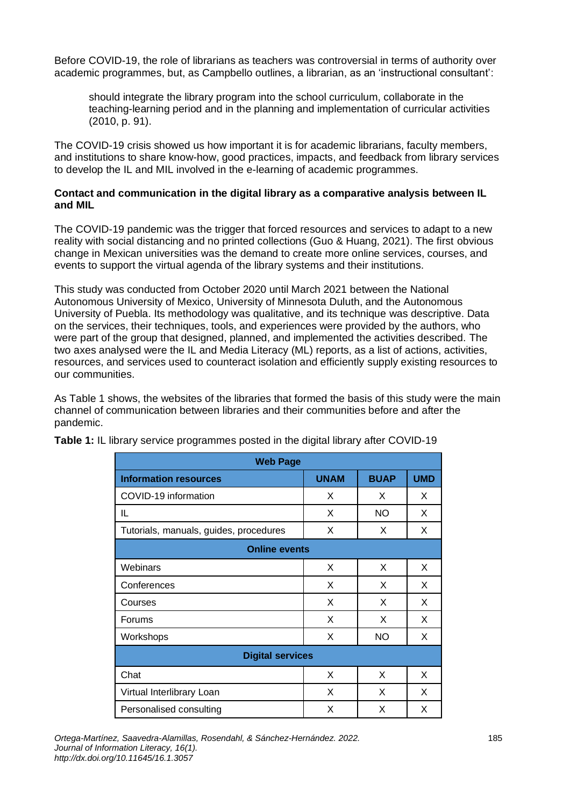Before COVID-19, the role of librarians as teachers was controversial in terms of authority over academic programmes, but, as Campbello outlines, a librarian, as an 'instructional consultant':

should integrate the library program into the school curriculum, collaborate in the teaching-learning period and in the planning and implementation of curricular activities (2010, p. 91).

The COVID-19 crisis showed us how important it is for academic librarians, faculty members, and institutions to share know-how, good practices, impacts, and feedback from library services to develop the IL and MIL involved in the e-learning of academic programmes.

#### **Contact and communication in the digital library as a comparative analysis between IL and MIL**

The COVID-19 pandemic was the trigger that forced resources and services to adapt to a new reality with social distancing and no printed collections (Guo & Huang, 2021). The first obvious change in Mexican universities was the demand to create more online services, courses, and events to support the virtual agenda of the library systems and their institutions.

This study was conducted from October 2020 until March 2021 between the National Autonomous University of Mexico, University of Minnesota Duluth, and the Autonomous University of Puebla. Its methodology was qualitative, and its technique was descriptive. Data on the services, their techniques, tools, and experiences were provided by the authors, who were part of the group that designed, planned, and implemented the activities described. The two axes analysed were the IL and Media Literacy (ML) reports, as a list of actions, activities, resources, and services used to counteract isolation and efficiently supply existing resources to our communities.

As Table 1 shows, the websites of the libraries that formed the basis of this study were the main channel of communication between libraries and their communities before and after the pandemic.

| <b>Web Page</b>                        |             |             |            |  |  |  |  |
|----------------------------------------|-------------|-------------|------------|--|--|--|--|
| <b>Information resources</b>           | <b>UNAM</b> | <b>BUAP</b> | <b>UMD</b> |  |  |  |  |
| COVID-19 information                   | X           | X           | X          |  |  |  |  |
| IL                                     | X           | <b>NO</b>   | X          |  |  |  |  |
| Tutorials, manuals, guides, procedures | X           | X           | X          |  |  |  |  |
| <b>Online events</b>                   |             |             |            |  |  |  |  |
| Webinars                               | X           | X           | X          |  |  |  |  |
| Conferences                            | X           | X           | X          |  |  |  |  |
| Courses                                | X           | X           | X          |  |  |  |  |
| Forums                                 | X           | X           | X          |  |  |  |  |
| Workshops                              | X           | <b>NO</b>   | X          |  |  |  |  |
| <b>Digital services</b>                |             |             |            |  |  |  |  |
| Chat                                   | X           | X           | X          |  |  |  |  |
| Virtual Interlibrary Loan              | X           | X           | X          |  |  |  |  |
| Personalised consulting                | X           | X           | X          |  |  |  |  |

**Table 1:** IL library service programmes posted in the digital library after COVID-19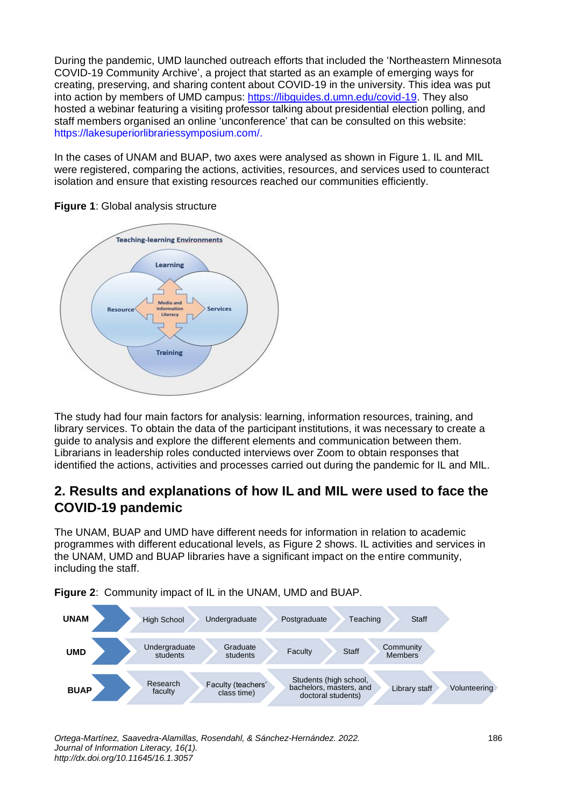During the pandemic, UMD launched outreach efforts that included the 'Northeastern Minnesota COVID-19 Community Archive', a project that started as an example of emerging ways for creating, preserving, and sharing content about COVID-19 in the university. This idea was put into action by members of UMD campus: [https://libguides.d.umn.edu/covid-19.](https://libguides.d.umn.edu/covid-19) They also hosted a webinar featuring a visiting professor talking about presidential election polling, and staff members organised an online 'unconference' that can be consulted on this website: [https://lakesuperiorlibrariessymposium.com/.](https://lakesuperiorlibrariessymposium.com/)

In the cases of UNAM and BUAP, two axes were analysed as shown in Figure 1. IL and MIL were registered, comparing the actions, activities, resources, and services used to counteract isolation and ensure that existing resources reached our communities efficiently.



**Figure 1**: Global analysis structure

The study had four main factors for analysis: learning, information resources, training, and library services. To obtain the data of the participant institutions, it was necessary to create a guide to analysis and explore the different elements and communication between them. Librarians in leadership roles conducted interviews over Zoom to obtain responses that identified the actions, activities and processes carried out during the pandemic for IL and MIL.

## **2. Results and explanations of how IL and MIL were used to face the COVID-19 pandemic**

The UNAM, BUAP and UMD have different needs for information in relation to academic programmes with different educational levels, as Figure 2 shows. IL activities and services in the UNAM, UMD and BUAP libraries have a significant impact on the entire community, including the staff.



**Figure 2**: Community impact of IL in the UNAM, UMD and BUAP.

*Ortega-Martínez, Saavedra-Alamillas, Rosendahl, & Sánchez-Hernández. 2022.* 186 *Journal of Information Literacy, 16(1). http://dx.doi.org/10.11645/16.1.3057*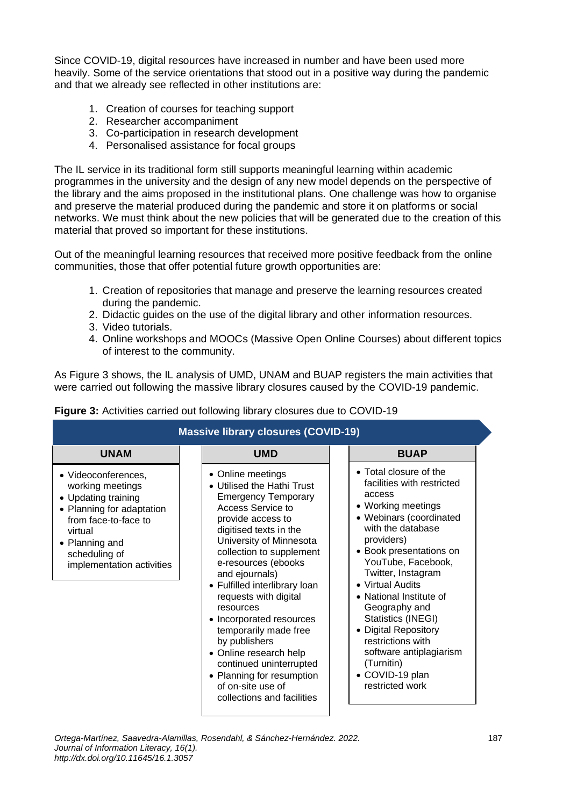Since COVID-19, digital resources have increased in number and have been used more heavily. Some of the service orientations that stood out in a positive way during the pandemic and that we already see reflected in other institutions are:

- 1. Creation of courses for teaching support
- 2. Researcher accompaniment
- 3. Co-participation in research development
- 4. Personalised assistance for focal groups

The IL service in its traditional form still supports meaningful learning within academic programmes in the university and the design of any new model depends on the perspective of the library and the aims proposed in the institutional plans. One challenge was how to organise and preserve the material produced during the pandemic and store it on platforms or social networks. We must think about the new policies that will be generated due to the creation of this material that proved so important for these institutions.

Out of the meaningful learning resources that received more positive feedback from the online communities, those that offer potential future growth opportunities are:

- 1. Creation of repositories that manage and preserve the learning resources created during the pandemic.
- 2. Didactic guides on the use of the digital library and other information resources.
- 3. Video tutorials.
- 4. Online workshops and MOOCs (Massive Open Online Courses) about different topics of interest to the community.

As Figure 3 shows, the IL analysis of UMD, UNAM and BUAP registers the main activities that were carried out following the massive library closures caused by the COVID-19 pandemic.

| <b>Massive library closures (COVID-19)</b>                                                                                                                                                     |                                                                                                                                                                                                                                                                                                                                                                                                                                                                                                                                     |                                                                                                                                                                                                                                                                                                                                                                                                                                             |  |  |
|------------------------------------------------------------------------------------------------------------------------------------------------------------------------------------------------|-------------------------------------------------------------------------------------------------------------------------------------------------------------------------------------------------------------------------------------------------------------------------------------------------------------------------------------------------------------------------------------------------------------------------------------------------------------------------------------------------------------------------------------|---------------------------------------------------------------------------------------------------------------------------------------------------------------------------------------------------------------------------------------------------------------------------------------------------------------------------------------------------------------------------------------------------------------------------------------------|--|--|
| <b>UNAM</b>                                                                                                                                                                                    | <b>UMD</b>                                                                                                                                                                                                                                                                                                                                                                                                                                                                                                                          | <b>BUAP</b>                                                                                                                                                                                                                                                                                                                                                                                                                                 |  |  |
| • Videoconferences,<br>working meetings<br>• Updating training<br>• Planning for adaptation<br>from face-to-face to<br>virtual<br>• Planning and<br>scheduling of<br>implementation activities | • Online meetings<br>• Utilised the Hathi Trust<br><b>Emergency Temporary</b><br>Access Service to<br>provide access to<br>digitised texts in the<br>University of Minnesota<br>collection to supplement<br>e-resources (ebooks<br>and ejournals)<br>• Fulfilled interlibrary loan<br>requests with digital<br>resources<br>• Incorporated resources<br>temporarily made free<br>by publishers<br>• Online research help<br>continued uninterrupted<br>• Planning for resumption<br>of on-site use of<br>collections and facilities | • Total closure of the<br>facilities with restricted<br>access<br>• Working meetings<br>• Webinars (coordinated<br>with the database<br>providers)<br>• Book presentations on<br>YouTube, Facebook,<br>Twitter, Instagram<br>• Virtual Audits<br>• National Institute of<br>Geography and<br>Statistics (INEGI)<br>• Digital Repository<br>restrictions with<br>software antiplagiarism<br>(Turnitin)<br>• COVID-19 plan<br>restricted work |  |  |

#### **Figure 3:** Activities carried out following library closures due to COVID-19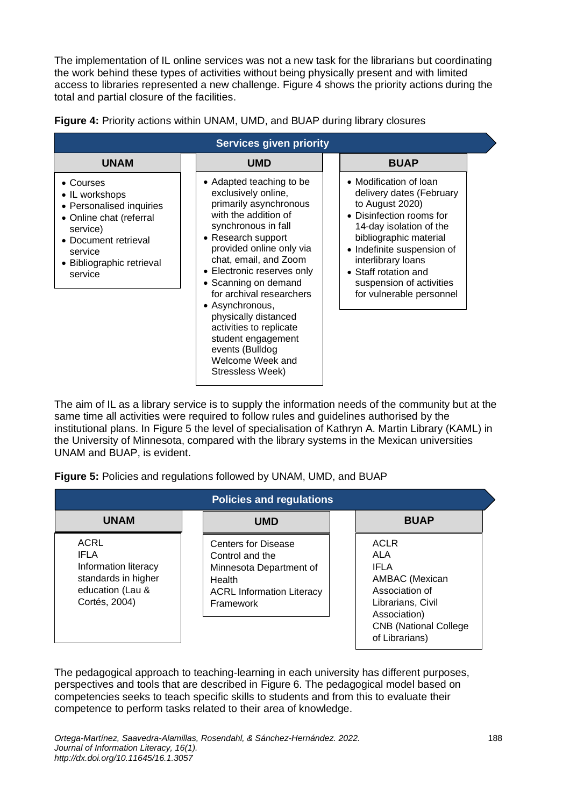The implementation of IL online services was not a new task for the librarians but coordinating the work behind these types of activities without being physically present and with limited access to libraries represented a new challenge. Figure 4 shows the priority actions during the total and partial closure of the facilities.

| <b>Services given priority</b>                                                                                                                                            |                                                                                                                                                                                                                                                                                                                                                                                                                                              |                                                                                                                                                                                                                                                                                            |  |  |  |  |
|---------------------------------------------------------------------------------------------------------------------------------------------------------------------------|----------------------------------------------------------------------------------------------------------------------------------------------------------------------------------------------------------------------------------------------------------------------------------------------------------------------------------------------------------------------------------------------------------------------------------------------|--------------------------------------------------------------------------------------------------------------------------------------------------------------------------------------------------------------------------------------------------------------------------------------------|--|--|--|--|
| <b>UNAM</b>                                                                                                                                                               | <b>UMD</b>                                                                                                                                                                                                                                                                                                                                                                                                                                   | <b>BUAP</b>                                                                                                                                                                                                                                                                                |  |  |  |  |
| • Courses<br>• IL workshops<br>• Personalised inquiries<br>• Online chat (referral<br>service)<br>• Document retrieval<br>service<br>• Bibliographic retrieval<br>service | • Adapted teaching to be<br>exclusively online,<br>primarily asynchronous<br>with the addition of<br>synchronous in fall<br>• Research support<br>provided online only via<br>chat, email, and Zoom<br>• Electronic reserves only<br>• Scanning on demand<br>for archival researchers<br>• Asynchronous,<br>physically distanced<br>activities to replicate<br>student engagement<br>events (Bulldog<br>Welcome Week and<br>Stressless Week) | • Modification of loan<br>delivery dates (February<br>to August 2020)<br>• Disinfection rooms for<br>14-day isolation of the<br>bibliographic material<br>• Indefinite suspension of<br>interlibrary loans<br>• Staff rotation and<br>suspension of activities<br>for vulnerable personnel |  |  |  |  |

| Figure 4: Priority actions within UNAM, UMD, and BUAP during library closures |  |  |  |
|-------------------------------------------------------------------------------|--|--|--|

The aim of IL as a library service is to supply the information needs of the community but at the same time all activities were required to follow rules and guidelines authorised by the institutional plans. In Figure 5 the level of specialisation of Kathryn A. Martin Library (KAML) in the University of Minnesota, compared with the library systems in the Mexican universities UNAM and BUAP, is evident.

|  |  |  |  |  | Figure 5: Policies and regulations followed by UNAM, UMD, and BUAP |
|--|--|--|--|--|--------------------------------------------------------------------|
|--|--|--|--|--|--------------------------------------------------------------------|

| <b>Policies and regulations</b>                                                                                |                                                                                                                                            |                                                                                                                                                                      |  |  |  |
|----------------------------------------------------------------------------------------------------------------|--------------------------------------------------------------------------------------------------------------------------------------------|----------------------------------------------------------------------------------------------------------------------------------------------------------------------|--|--|--|
| <b>UNAM</b>                                                                                                    | <b>UMD</b>                                                                                                                                 | <b>BUAP</b>                                                                                                                                                          |  |  |  |
| <b>ACRL</b><br><b>IFLA</b><br>Information literacy<br>standards in higher<br>education (Lau &<br>Cortés, 2004) | <b>Centers for Disease</b><br>Control and the<br>Minnesota Department of<br>Health<br><b>ACRL Information Literacy</b><br><b>Framework</b> | <b>ACLR</b><br><b>ALA</b><br><b>IFLA</b><br>AMBAC (Mexican<br>Association of<br>Librarians, Civil<br>Association)<br><b>CNB (National College)</b><br>of Librarians) |  |  |  |

The pedagogical approach to teaching-learning in each university has different purposes, perspectives and tools that are described in Figure 6. The pedagogical model based on competencies seeks to teach specific skills to students and from this to evaluate their competence to perform tasks related to their area of knowledge.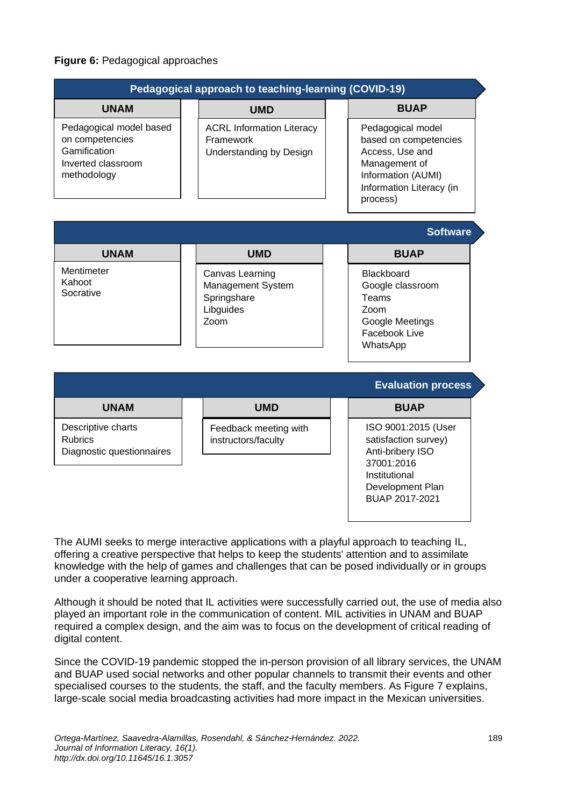#### **Figure 6:** Pedagogical approaches

|                                                                                                 | Pedagogical approach to teaching-learning (COVID-19)                     |                                                                                                                                              |
|-------------------------------------------------------------------------------------------------|--------------------------------------------------------------------------|----------------------------------------------------------------------------------------------------------------------------------------------|
| <b>UNAM</b>                                                                                     | <b>UMD</b>                                                               | <b>BUAP</b>                                                                                                                                  |
| Pedagogical model based<br>on competencies<br>Gamification<br>Inverted classroom<br>methodology | <b>ACRL Information Literacy</b><br>Framework<br>Understanding by Design | Pedagogical model<br>based on competencies<br>Access, Use and<br>Management of<br>Information (AUMI)<br>Information Literacy (in<br>process) |
|                                                                                                 |                                                                          | <b>Software</b>                                                                                                                              |
| <b>UNAM</b>                                                                                     | <b>UMD</b>                                                               | <b>BUAP</b>                                                                                                                                  |
| Mentimeter<br>Kahoot<br>Socrative                                                               | Canvas Learning<br>Management System<br>Springshare<br>Libguides<br>Zoom | <b>Blackboard</b><br>Google classroom<br>Teams<br>Zoom<br>Google Meetings<br><b>Facebook Live</b><br>WhatsApp                                |
|                                                                                                 |                                                                          | <b>Evaluation process</b>                                                                                                                    |

|                                                                   |                                              | $-$ , and all $\theta$ is the cool                                                                                                   |
|-------------------------------------------------------------------|----------------------------------------------|--------------------------------------------------------------------------------------------------------------------------------------|
| <b>UNAM</b>                                                       | <b>UMD</b>                                   | <b>BUAP</b>                                                                                                                          |
| Descriptive charts<br><b>Rubrics</b><br>Diagnostic questionnaires | Feedback meeting with<br>instructors/faculty | ISO 9001:2015 (User<br>satisfaction survey)<br>Anti-bribery ISO<br>37001:2016<br>Institutional<br>Development Plan<br>BUAP 2017-2021 |

The AUMI seeks to merge interactive applications with a playful approach to teaching IL, offering a creative perspective that helps to keep the students' attention and to assimilate knowledge with the help of games and challenges that can be posed individually or in groups under a cooperative learning approach.

Although it should be noted that IL activities were successfully carried out, the use of media also played an important role in the communication of content. MIL activities in UNAM and BUAP required a complex design, and the aim was to focus on the development of critical reading of digital content.

Since the COVID-19 pandemic stopped the in-person provision of all library services, the UNAM and BUAP used social networks and other popular channels to transmit their events and other specialised courses to the students, the staff, and the faculty members. As Figure 7 explains, large-scale social media broadcasting activities had more impact in the Mexican universities.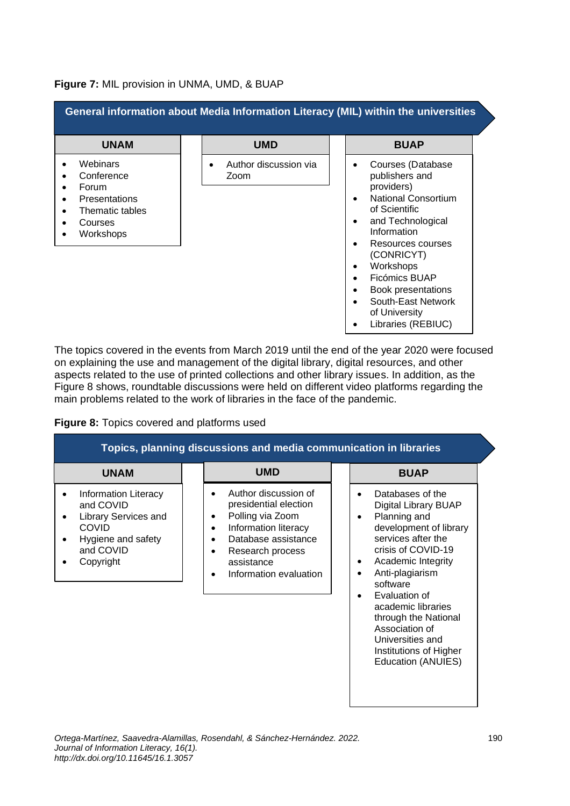#### **Figure 7:** MIL provision in UNMA, UMD, & BUAP

| General information about Media Information Literacy (MIL) within the universities                 |  |                               |  |                                                                                                                                                                                                                                                                                                                                                                |  |
|----------------------------------------------------------------------------------------------------|--|-------------------------------|--|----------------------------------------------------------------------------------------------------------------------------------------------------------------------------------------------------------------------------------------------------------------------------------------------------------------------------------------------------------------|--|
| <b>UNAM</b>                                                                                        |  | <b>UMD</b>                    |  | <b>BUAP</b>                                                                                                                                                                                                                                                                                                                                                    |  |
| Webinars<br>Conference<br>Forum<br><b>Presentations</b><br>Thematic tables<br>Courses<br>Workshops |  | Author discussion via<br>Zoom |  | Courses (Database<br>$\bullet$<br>publishers and<br>providers)<br><b>National Consortium</b><br>$\bullet$<br>of Scientific<br>and Technological<br>٠<br>Information<br>Resources courses<br>(CONRICYT)<br>Workshops<br>$\bullet$<br>Ficómics BUAP<br>Book presentations<br>$\bullet$<br>South-East Network<br>$\bullet$<br>of University<br>Libraries (REBIUC) |  |

The topics covered in the events from March 2019 until the end of the year 2020 were focused on explaining the use and management of the digital library, digital resources, and other aspects related to the use of printed collections and other library issues. In addition, as the Figure 8 shows, roundtable discussions were held on different video platforms regarding the main problems related to the work of libraries in the face of the pandemic.

#### **Figure 8:** Topics covered and platforms used

| Topics, planning discussions and media communication in libraries                                                                                  |  |                                                                                                                                                                                                             |  |                                                                                                                                                                                                                                                                                                                                                                         |  |
|----------------------------------------------------------------------------------------------------------------------------------------------------|--|-------------------------------------------------------------------------------------------------------------------------------------------------------------------------------------------------------------|--|-------------------------------------------------------------------------------------------------------------------------------------------------------------------------------------------------------------------------------------------------------------------------------------------------------------------------------------------------------------------------|--|
| <b>UNAM</b>                                                                                                                                        |  | <b>UMD</b>                                                                                                                                                                                                  |  | <b>BUAP</b>                                                                                                                                                                                                                                                                                                                                                             |  |
| <b>Information Literacy</b><br>and COVID<br><b>Library Services and</b><br>$\bullet$<br>COVID<br>Hygiene and safety<br>٠<br>and COVID<br>Copyright |  | Author discussion of<br>presidential election<br>Polling via Zoom<br>٠<br>Information literacy<br>$\bullet$<br>Database assistance<br>$\bullet$<br>Research process<br>assistance<br>Information evaluation |  | Databases of the<br>$\bullet$<br>Digital Library BUAP<br>Planning and<br>$\bullet$<br>development of library<br>services after the<br>crisis of COVID-19<br>Academic Integrity<br>٠<br>Anti-plagiarism<br>software<br>Evaluation of<br>academic libraries<br>through the National<br>Association of<br>Universities and<br>Institutions of Higher<br>Education (ANUIES) |  |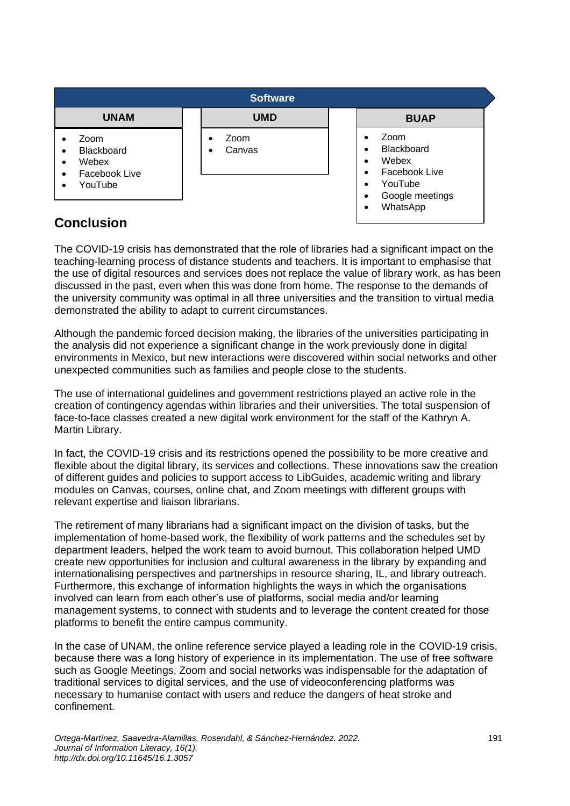| <b>Software</b>                                                                                            |                                          |  |                                                                                             |  |  |
|------------------------------------------------------------------------------------------------------------|------------------------------------------|--|---------------------------------------------------------------------------------------------|--|--|
| <b>UNAM</b>                                                                                                | <b>UMD</b>                               |  | <b>BUAP</b>                                                                                 |  |  |
| Zoom<br><b>Blackboard</b><br>$\bullet$<br>Webex<br>$\bullet$<br>Facebook Live<br>٠<br>YouTube<br>$\bullet$ | Zoom<br>$\bullet$<br>Canvas<br>$\bullet$ |  | Zoom<br>Blackboard<br>Webex<br>Facebook Live<br>YouTube<br>Google meetings<br>٠<br>WhatsApp |  |  |

## **Conclusion**

The COVID-19 crisis has demonstrated that the role of libraries had a significant impact on the teaching-learning process of distance students and teachers. It is important to emphasise that the use of digital resources and services does not replace the value of library work, as has been discussed in the past, even when this was done from home. The response to the demands of the university community was optimal in all three universities and the transition to virtual media demonstrated the ability to adapt to current circumstances.

Although the pandemic forced decision making, the libraries of the universities participating in the analysis did not experience a significant change in the work previously done in digital environments in Mexico, but new interactions were discovered within social networks and other unexpected communities such as families and people close to the students.

The use of international guidelines and government restrictions played an active role in the creation of contingency agendas within libraries and their universities. The total suspension of face-to-face classes created a new digital work environment for the staff of the Kathryn A. Martin Library.

In fact, the COVID-19 crisis and its restrictions opened the possibility to be more creative and flexible about the digital library, its services and collections. These innovations saw the creation of different guides and policies to support access to LibGuides, academic writing and library modules on Canvas, courses, online chat, and Zoom meetings with different groups with relevant expertise and liaison librarians.

The retirement of many librarians had a significant impact on the division of tasks, but the implementation of home-based work, the flexibility of work patterns and the schedules set by department leaders, helped the work team to avoid burnout. This collaboration helped UMD create new opportunities for inclusion and cultural awareness in the library by expanding and internationalising perspectives and partnerships in resource sharing, IL, and library outreach. Furthermore, this exchange of information highlights the ways in which the organisations involved can learn from each other's use of platforms, social media and/or learning management systems, to connect with students and to leverage the content created for those platforms to benefit the entire campus community.

In the case of UNAM, the online reference service played a leading role in the COVID-19 crisis, because there was a long history of experience in its implementation. The use of free software such as Google Meetings, Zoom and social networks was indispensable for the adaptation of traditional services to digital services, and the use of videoconferencing platforms was necessary to humanise contact with users and reduce the dangers of heat stroke and confinement.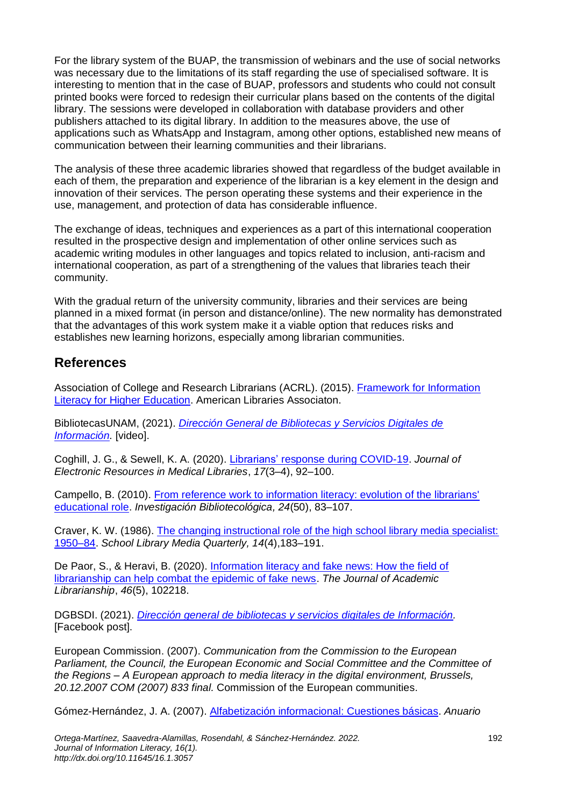For the library system of the BUAP, the transmission of webinars and the use of social networks was necessary due to the limitations of its staff regarding the use of specialised software. It is interesting to mention that in the case of BUAP, professors and students who could not consult printed books were forced to redesign their curricular plans based on the contents of the digital library. The sessions were developed in collaboration with database providers and other publishers attached to its digital library. In addition to the measures above, the use of applications such as WhatsApp and Instagram, among other options, established new means of communication between their learning communities and their librarians.

The analysis of these three academic libraries showed that regardless of the budget available in each of them, the preparation and experience of the librarian is a key element in the design and innovation of their services. The person operating these systems and their experience in the use, management, and protection of data has considerable influence.

The exchange of ideas, techniques and experiences as a part of this international cooperation resulted in the prospective design and implementation of other online services such as academic writing modules in other languages and topics related to inclusion, anti-racism and international cooperation, as part of a strengthening of the values that libraries teach their community.

With the gradual return of the university community, libraries and their services are being planned in a mixed format (in person and distance/online). The new normality has demonstrated that the advantages of this work system make it a viable option that reduces risks and establishes new learning horizons, especially among librarian communities.

## **References**

Association of College and Research Librarians (ACRL). (2015). Framework for Information [Literacy for Higher Education.](http://www.ala.org/acrl/standards/ilframework) American Libraries Associaton.

BibliotecasUNAM, (2021). *[Dirección General de Bibliotecas y Servicios Digitales de](https://www.youtube.com/user/bibliotecasUNAM/videos)  [Información.](https://www.youtube.com/user/bibliotecasUNAM/videos)* [video].

Coghill, J. G., & Sewell, K. A. (2020). [Librarians' response during COVID-19.](https://doi.org/10.1080/15424065.2020.1823924) *Journal of Electronic Resources in Medical Libraries*, *17*(3–4), 92–100.

Campello, B. (2010). From reference work to information literacy: evolution of the librarians' [educational role.](http://dx.doi.org/10.22201/iibi.0187358xp.2010.50.21414) *Investigación Bibliotecológica, 24*(50), 83–107.

Craver, K. W. (1986). [The changing instructional role of the high school library media specialist:](https://www.ala.org/aasl/sites/ala.org.aasl/files/content/aaslpubsandjournals/slr/edchoice/SLMQ_ChangingInstructionalRole_InfoPower.pdf)  [1950–84.](https://www.ala.org/aasl/sites/ala.org.aasl/files/content/aaslpubsandjournals/slr/edchoice/SLMQ_ChangingInstructionalRole_InfoPower.pdf) *School Library Media Quarterly, 14*(4),183–191.

De Paor, S., & Heravi, B. (2020). [Information literacy and fake news: How the field of](https://doi.org/10.1016/j.acalib.2020.102218)  [librarianship can help combat the epidemic of fake news.](https://doi.org/10.1016/j.acalib.2020.102218) *The Journal of Academic Librarianship*, *46*(5), 102218.

DGBSDI. (2021). *[Dirección general de bibliotecas y servicios digitales de Información.](https://www.facebook.com/bibliotecasUNAM)*  [Facebook post].

European Commission. (2007). *Communication from the Commission to the European Parliament, the Council, the European Economic and Social Committee and the Committee of the Regions – A European approach to media literacy in the digital environment, Brussels, 20.12.2007 COM (2007) 833 final.* Commission of the European communities.

Gómez-Hernández, J. A. (2007). [Alfabetización informacional: Cuestiones básicas.](http://hdl.handle.net/10760/8743) *Anuario*